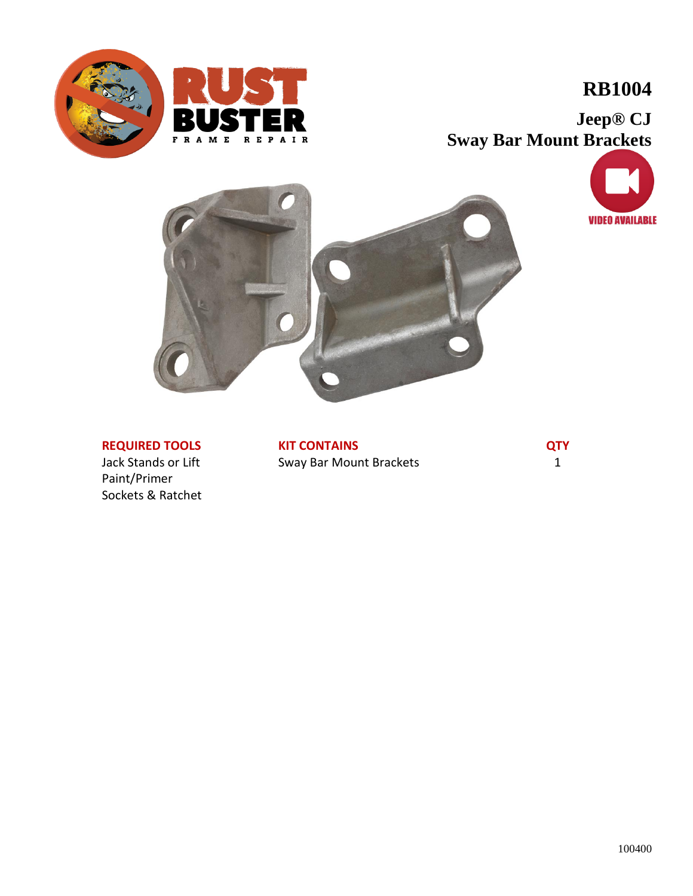



## **RB1004**

**Jeep® CJ Sway Bar Mount Brackets**





### **REQUIRED TOOLS**

Jack Stands or Lift Paint/Primer Sockets & Ratchet **KIT CONTAINS** Sway Bar Mount Brackets **QTY** 1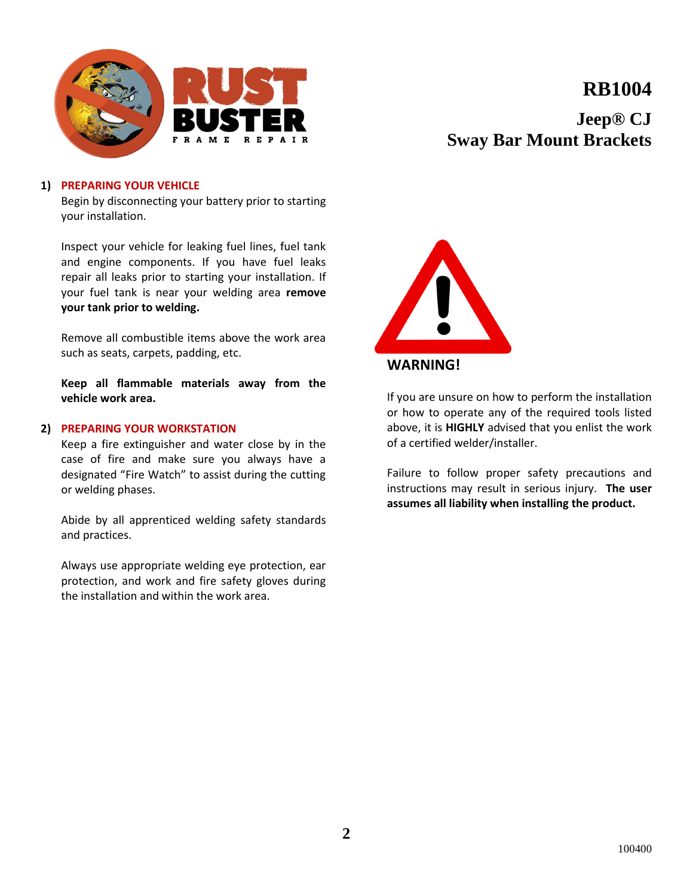



**Jeep® CJ Sway Bar Mount Brackets**

#### **1) PREPARING YOUR VEHICLE**

Begin by disconnecting your battery prior to starting your installation.

Inspect your vehicle for leaking fuel lines, fuel tank and engine components. If you have fuel leaks repair all leaks prior to starting your installation. If your fuel tank is near your welding area **remove your tank prior to welding.**

Remove all combustible items above the work area such as seats, carpets, padding, etc.

**Keep all flammable materials away from the vehicle work area.**

#### **2) PREPARING YOUR WORKSTATION**

Keep a fire extinguisher and water close by in the case of fire and make sure you always have a designated "Fire Watch" to assist during the cutting or welding phases.

Abide by all apprenticed welding safety standards and practices.

Always use appropriate welding eye protection, ear protection, and work and fire safety gloves during the installation and within the work area.



### **WARNING!**

If you are unsure on how to perform the installation or how to operate any of the required tools listed above, it is **HIGHLY** advised that you enlist the work of a certified welder/installer.

Failure to follow proper safety precautions and instructions may result in serious injury. **The user assumes all liability when installing the product.**